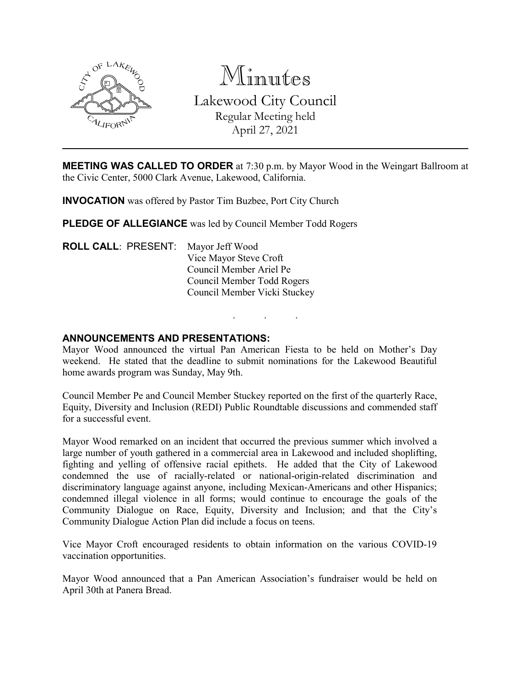

Minutes Lakewood City Council Regular Meeting held April 27, 2021

**MEETING WAS CALLED TO ORDER** at 7:30 p.m. by Mayor Wood in the Weingart Ballroom at the Civic Center, 5000 Clark Avenue, Lakewood, California.

**INVOCATION** was offered by Pastor Tim Buzbee, Port City Church

**PLEDGE OF ALLEGIANCE** was led by Council Member Todd Rogers

**ROLL CALL**: PRESENT: Mayor Jeff Wood Vice Mayor Steve Croft Council Member Ariel Pe Council Member Todd Rogers Council Member Vicki Stuckey

### **ANNOUNCEMENTS AND PRESENTATIONS:**

Mayor Wood announced the virtual Pan American Fiesta to be held on Mother's Day weekend. He stated that the deadline to submit nominations for the Lakewood Beautiful home awards program was Sunday, May 9th.

. . .

Council Member Pe and Council Member Stuckey reported on the first of the quarterly Race, Equity, Diversity and Inclusion (REDI) Public Roundtable discussions and commended staff for a successful event.

Mayor Wood remarked on an incident that occurred the previous summer which involved a large number of youth gathered in a commercial area in Lakewood and included shoplifting, fighting and yelling of offensive racial epithets. He added that the City of Lakewood condemned the use of racially-related or national-origin-related discrimination and discriminatory language against anyone, including Mexican-Americans and other Hispanics; condemned illegal violence in all forms; would continue to encourage the goals of the Community Dialogue on Race, Equity, Diversity and Inclusion; and that the City's Community Dialogue Action Plan did include a focus on teens.

Vice Mayor Croft encouraged residents to obtain information on the various COVID-19 vaccination opportunities.

Mayor Wood announced that a Pan American Association's fundraiser would be held on April 30th at Panera Bread.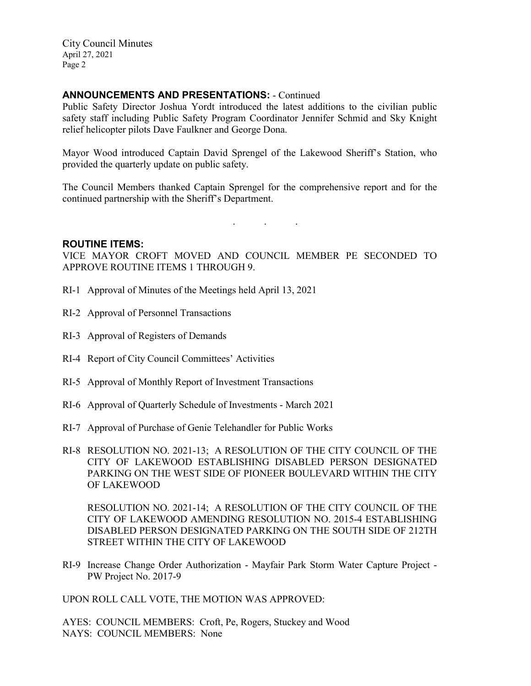#### **ANNOUNCEMENTS AND PRESENTATIONS:** - Continued

Public Safety Director Joshua Yordt introduced the latest additions to the civilian public safety staff including Public Safety Program Coordinator Jennifer Schmid and Sky Knight relief helicopter pilots Dave Faulkner and George Dona.

Mayor Wood introduced Captain David Sprengel of the Lakewood Sheriff's Station, who provided the quarterly update on public safety.

The Council Members thanked Captain Sprengel for the comprehensive report and for the continued partnership with the Sheriff's Department.

. . .

#### **ROUTINE ITEMS:**

VICE MAYOR CROFT MOVED AND COUNCIL MEMBER PE SECONDED TO APPROVE ROUTINE ITEMS 1 THROUGH 9.

- RI-1 Approval of Minutes of the Meetings held April 13, 2021
- RI-2 Approval of Personnel Transactions
- RI-3 Approval of Registers of Demands
- RI-4 Report of City Council Committees' Activities
- RI-5 Approval of Monthly Report of Investment Transactions
- RI-6 Approval of Quarterly Schedule of Investments March 2021
- RI-7 Approval of Purchase of Genie Telehandler for Public Works
- RI-8 RESOLUTION NO. 2021-13; A RESOLUTION OF THE CITY COUNCIL OF THE CITY OF LAKEWOOD ESTABLISHING DISABLED PERSON DESIGNATED PARKING ON THE WEST SIDE OF PIONEER BOULEVARD WITHIN THE CITY OF LAKEWOOD

RESOLUTION NO. 2021-14; A RESOLUTION OF THE CITY COUNCIL OF THE CITY OF LAKEWOOD AMENDING RESOLUTION NO. 2015-4 ESTABLISHING DISABLED PERSON DESIGNATED PARKING ON THE SOUTH SIDE OF 212TH STREET WITHIN THE CITY OF LAKEWOOD

RI-9 Increase Change Order Authorization - Mayfair Park Storm Water Capture Project - PW Project No. 2017-9

UPON ROLL CALL VOTE, THE MOTION WAS APPROVED:

AYES: COUNCIL MEMBERS: Croft, Pe, Rogers, Stuckey and Wood NAYS: COUNCIL MEMBERS: None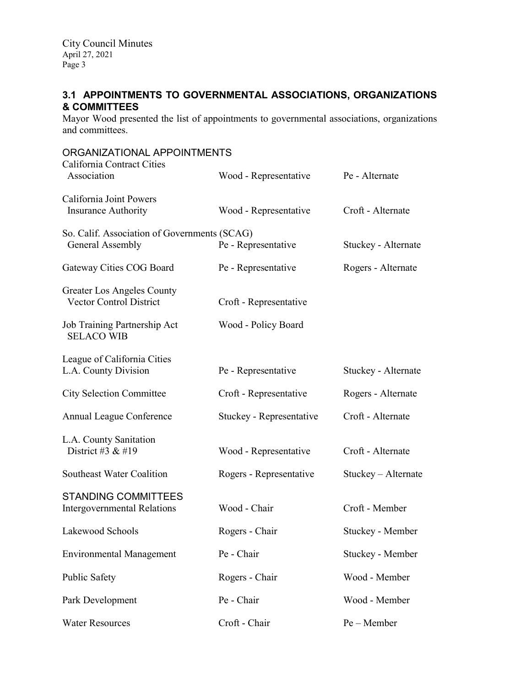# **3.1 APPOINTMENTS TO GOVERNMENTAL ASSOCIATIONS, ORGANIZATIONS & COMMITTEES**

Mayor Wood presented the list of appointments to governmental associations, organizations and committees.

| ORGANIZATIONAL APPOINTMENTS                                      |                          |                     |  |
|------------------------------------------------------------------|--------------------------|---------------------|--|
| California Contract Cities<br>Association                        | Wood - Representative    | Pe - Alternate      |  |
| California Joint Powers<br><b>Insurance Authority</b>            | Wood - Representative    | Croft - Alternate   |  |
| So. Calif. Association of Governments (SCAG)<br>General Assembly | Pe - Representative      | Stuckey - Alternate |  |
| Gateway Cities COG Board                                         | Pe - Representative      | Rogers - Alternate  |  |
| Greater Los Angeles County<br><b>Vector Control District</b>     | Croft - Representative   |                     |  |
| Job Training Partnership Act<br><b>SELACO WIB</b>                | Wood - Policy Board      |                     |  |
| League of California Cities<br>L.A. County Division              | Pe - Representative      | Stuckey - Alternate |  |
| <b>City Selection Committee</b>                                  | Croft - Representative   | Rogers - Alternate  |  |
| Annual League Conference                                         | Stuckey - Representative | Croft - Alternate   |  |
| L.A. County Sanitation<br>District #3 & #19                      | Wood - Representative    | Croft - Alternate   |  |
| Southeast Water Coalition                                        | Rogers - Representative  | Stuckey - Alternate |  |
| <b>STANDING COMMITTEES</b><br><b>Intergovernmental Relations</b> | Wood - Chair             | Croft - Member      |  |
| Lakewood Schools                                                 | Rogers - Chair           | Stuckey - Member    |  |
| <b>Environmental Management</b>                                  | Pe - Chair               | Stuckey - Member    |  |
| <b>Public Safety</b>                                             | Rogers - Chair           | Wood - Member       |  |
| Park Development                                                 | Pe - Chair               | Wood - Member       |  |
| <b>Water Resources</b>                                           | Croft - Chair            | Pe - Member         |  |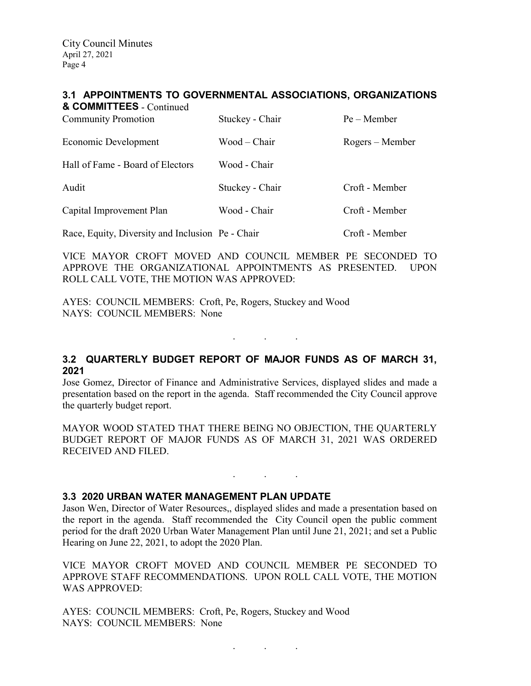#### **3.1 APPOINTMENTS TO GOVERNMENTAL ASSOCIATIONS, ORGANIZATIONS**

| & COMMITTEES - Continued<br><b>Community Promotion</b> | Stuckey - Chair | $Pe - Member$   |
|--------------------------------------------------------|-----------------|-----------------|
| Economic Development                                   | Wood – Chair    | Rogers – Member |
| Hall of Fame - Board of Electors                       | Wood - Chair    |                 |
| Audit                                                  | Stuckey - Chair | Croft - Member  |
| Capital Improvement Plan                               | Wood - Chair    | Croft - Member  |
| Race, Equity, Diversity and Inclusion Pe - Chair       |                 | Croft - Member  |

VICE MAYOR CROFT MOVED AND COUNCIL MEMBER PE SECONDED TO APPROVE THE ORGANIZATIONAL APPOINTMENTS AS PRESENTED. UPON ROLL CALL VOTE, THE MOTION WAS APPROVED:

AYES: COUNCIL MEMBERS: Croft, Pe, Rogers, Stuckey and Wood NAYS: COUNCIL MEMBERS: None

## **3.2 QUARTERLY BUDGET REPORT OF MAJOR FUNDS AS OF MARCH 31, 2021**

. . .

Jose Gomez, Director of Finance and Administrative Services, displayed slides and made a presentation based on the report in the agenda. Staff recommended the City Council approve the quarterly budget report.

MAYOR WOOD STATED THAT THERE BEING NO OBJECTION, THE QUARTERLY BUDGET REPORT OF MAJOR FUNDS AS OF MARCH 31, 2021 WAS ORDERED RECEIVED AND FILED.

. . .

#### **3.3 2020 URBAN WATER MANAGEMENT PLAN UPDATE**

Jason Wen, Director of Water Resources,, displayed slides and made a presentation based on the report in the agenda. Staff recommended the City Council open the public comment period for the draft 2020 Urban Water Management Plan until June 21, 2021; and set a Public Hearing on June 22, 2021, to adopt the 2020 Plan.

VICE MAYOR CROFT MOVED AND COUNCIL MEMBER PE SECONDED TO APPROVE STAFF RECOMMENDATIONS. UPON ROLL CALL VOTE, THE MOTION WAS APPROVED:

AYES: COUNCIL MEMBERS: Croft, Pe, Rogers, Stuckey and Wood NAYS: COUNCIL MEMBERS: None